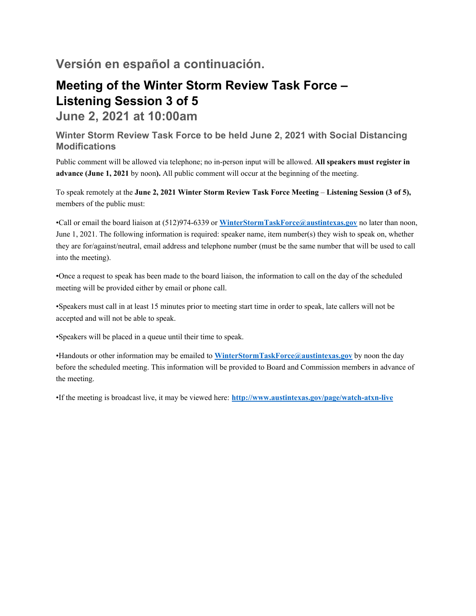## **Versión en español a continuación.**

## **Meeting of the Winter Storm Review Task Force – Listening Session 3 of 5**

**June 2, 2021 at 10:00am** 

**Winter Storm Review Task Force to be held June 2, 2021 with Social Distancing Modifications** 

Public comment will be allowed via telephone; no in-person input will be allowed. **All speakers must register in advance (June 1, 2021** by noon**).** All public comment will occur at the beginning of the meeting.

To speak remotely at the **June 2, 2021 Winter Storm Review Task Force Meeting** – **Listening Session (3 of 5),** members of the public must:

•Call or email the board liaison at (512)974-6339 or **WinterStormTaskForce@austintexas.gov** no later than noon, June 1, 2021. The following information is required: speaker name, item number(s) they wish to speak on, whether they are for/against/neutral, email address and telephone number (must be the same number that will be used to call into the meeting).

•Once a request to speak has been made to the board liaison, the information to call on the day of the scheduled meeting will be provided either by email or phone call.

•Speakers must call in at least 15 minutes prior to meeting start time in order to speak, late callers will not be accepted and will not be able to speak.

•Speakers will be placed in a queue until their time to speak.

•Handouts or other information may be emailed to **WinterStormTaskForce@austintexas.gov** by noon the day before the scheduled meeting. This information will be provided to Board and Commission members in advance of the meeting.

•If the meeting is broadcast live, it may be viewed here: **http://www.austintexas.gov/page/watch-atxn-live**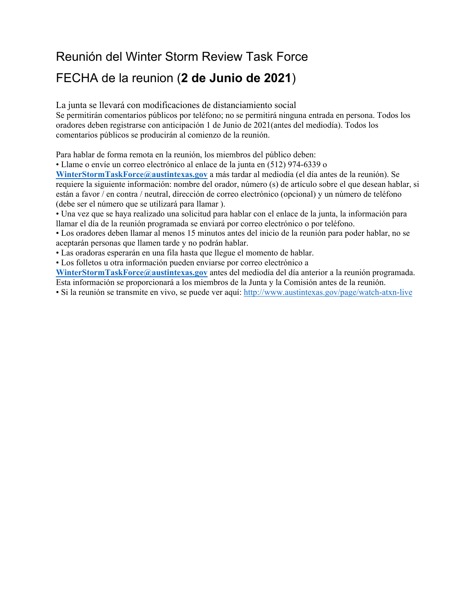# Reunión del Winter Storm Review Task Force FECHA de la reunion (**2 de Junio de 2021**)

La junta se llevará con modificaciones de distanciamiento social Se permitirán comentarios públicos por teléfono; no se permitirá ninguna entrada en persona. Todos los oradores deben registrarse con anticipación 1 de Junio de 2021(antes del mediodía). Todos los comentarios públicos se producirán al comienzo de la reunión.

Para hablar de forma remota en la reunión, los miembros del público deben:

• Llame o envíe un correo electrónico al enlace de la junta en (512) 974-6339 o

**WinterStormTaskForce@austintexas.gov** a más tardar al mediodía (el día antes de la reunión). Se requiere la siguiente información: nombre del orador, número (s) de artículo sobre el que desean hablar, si están a favor / en contra / neutral, dirección de correo electrónico (opcional) y un número de teléfono (debe ser el número que se utilizará para llamar ).

• Una vez que se haya realizado una solicitud para hablar con el enlace de la junta, la información para llamar el día de la reunión programada se enviará por correo electrónico o por teléfono.

• Los oradores deben llamar al menos 15 minutos antes del inicio de la reunión para poder hablar, no se aceptarán personas que llamen tarde y no podrán hablar.

• Las oradoras esperarán en una fila hasta que llegue el momento de hablar.

• Los folletos u otra información pueden enviarse por correo electrónico a

**WinterStormTaskForce@austintexas.gov** antes del mediodía del día anterior a la reunión programada. Esta información se proporcionará a los miembros de la Junta y la Comisión antes de la reunión.

• Si la reunión se transmite en vivo, se puede ver aquí: http://www.austintexas.gov/page/watch-atxn-live